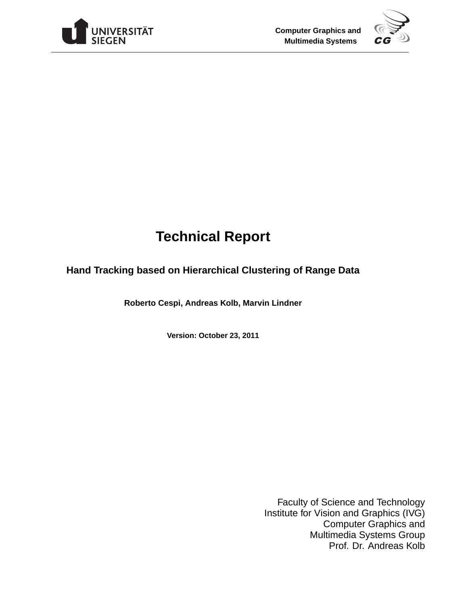



# **Technical Report**

# **Hand Tracking based on Hierarchical Clustering of Range Data**

**Roberto Cespi, Andreas Kolb, Marvin Lindner**

**Version: October 23, 2011**

Faculty of Science and Technology Institute for Vision and Graphics (IVG) Computer Graphics and Multimedia Systems Group Prof. Dr. Andreas Kolb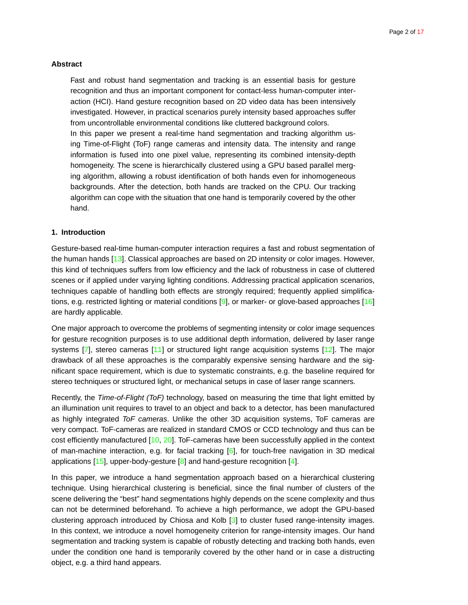# <span id="page-1-0"></span>**Abstract**

Fast and robust hand segmentation and tracking is an essential basis for gesture recognition and thus an important component for contact-less human-computer interaction (HCI). Hand gesture recognition based on 2D video data has been intensively investigated. However, in practical scenarios purely intensity based approaches suffer from uncontrollable environmental conditions like cluttered background colors.

In this paper we present a real-time hand segmentation and tracking algorithm using Time-of-Flight (ToF) range cameras and intensity data. The intensity and range information is fused into one pixel value, representing its combined intensity-depth homogeneity. The scene is hierarchically clustered using a GPU based parallel merging algorithm, allowing a robust identification of both hands even for inhomogeneous backgrounds. After the detection, both hands are tracked on the CPU. Our tracking algorithm can cope with the situation that one hand is temporarily covered by the other hand.

# **1. Introduction**

Gesture-based real-time human-computer interaction requires a fast and robust segmentation of the human hands [\[13\]](#page-9-0). Classical approaches are based on 2D intensity or color images. However, this kind of techniques suffers from low efficiency and the lack of robustness in case of cluttered scenes or if applied under varying lighting conditions. Addressing practical application scenarios, techniques capable of handling both effects are strongly required; frequently applied simplifica-tions, e.g. restricted lighting or material conditions [\[9\]](#page-8-0), or marker- or glove-based approaches [\[16\]](#page-9-1) are hardly applicable.

One major approach to overcome the problems of segmenting intensity or color image sequences for gesture recognition purposes is to use additional depth information, delivered by laser range systems  $[7]$ , stereo cameras  $[11]$  or structured light range acquisition systems  $[12]$ . The major drawback of all these approaches is the comparably expensive sensing hardware and the significant space requirement, which is due to systematic constraints, e.g. the baseline required for stereo techniques or structured light, or mechanical setups in case of laser range scanners.

Recently, the Time-of-Flight (ToF) technology, based on measuring the time that light emitted by an illumination unit requires to travel to an object and back to a detector, has been manufactured as highly integrated ToF cameras. Unlike the other 3D acquisition systems, ToF cameras are very compact. ToF-cameras are realized in standard CMOS or CCD technology and thus can be cost efficiently manufactured [\[10,](#page-8-2) [20\]](#page-9-4). ToF-cameras have been successfully applied in the context of man-machine interaction, e.g. for facial tracking  $[6]$ , for touch-free navigation in 3D medical applications  $[15]$ , upper-body-gesture  $[8]$  and hand-gesture recognition  $[4]$ .

In this paper, we introduce a hand segmentation approach based on a hierarchical clustering technique. Using hierarchical clustering is beneficial, since the final number of clusters of the scene delivering the "best" hand segmentations highly depends on the scene complexity and thus can not be determined beforehand. To achieve a high performance, we adopt the GPU-based clustering approach introduced by Chiosa and Kolb  $\lceil 3 \rceil$  to cluster fused range-intensity images. In this context, we introduce a novel homogeneity criterion for range-intensity images. Our hand segmentation and tracking system is capable of robustly detecting and tracking both hands, even under the condition one hand is temporarily covered by the other hand or in case a distructing object, e.g. a third hand appears.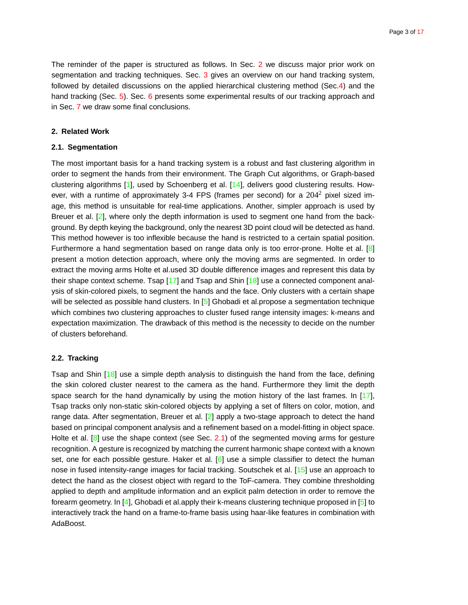<span id="page-2-2"></span>The reminder of the paper is structured as follows. In Sec. [2](#page-2-0) we discuss major prior work on segmentation and tracking techniques. Sec. [3](#page-3-0) gives an overview on our hand tracking system, followed by detailed discussions on the applied hierarchical clustering method (Sec[.4\)](#page-3-1) and the hand tracking (Sec. [5\)](#page-5-0). Sec. [6](#page-7-0) presents some experimental results of our tracking approach and in Sec. [7](#page-8-7) we draw some final conclusions.

# <span id="page-2-1"></span><span id="page-2-0"></span>**2. Related Work**

# **2.1. Segmentation**

The most important basis for a hand tracking system is a robust and fast clustering algorithm in order to segment the hands from their environment. The Graph Cut algorithms, or Graph-based clustering algorithms [\[1\]](#page-8-8), used by Schoenberg et al. [\[14\]](#page-9-6), delivers good clustering results. However, with a runtime of approximately 3-4 FPS (frames per second) for a  $204^2$  pixel sized image, this method is unsuitable for real-time applications. Another, simpler approach is used by Breuer et al. [\[2\]](#page-8-9), where only the depth information is used to segment one hand from the background. By depth keying the background, only the nearest 3D point cloud will be detected as hand. This method however is too inflexible because the hand is restricted to a certain spatial position. Furthermore a hand segmentation based on range data only is too error-prone. Holte et al. [\[8\]](#page-8-4) present a motion detection approach, where only the moving arms are segmented. In order to extract the moving arms Holte et al.used 3D double difference images and represent this data by their shape context scheme. Tsap  $[17]$  and Tsap and Shin  $[18]$  use a connected component analysis of skin-colored pixels, to segment the hands and the face. Only clusters with a certain shape will be selected as possible hand clusters. In  $[5]$  Ghobadi et al.propose a segmentation technique which combines two clustering approaches to cluster fused range intensity images: k-means and expectation maximization. The drawback of this method is the necessity to decide on the number of clusters beforehand.

# **2.2. Tracking**

Tsap and Shin [\[18\]](#page-9-8) use a simple depth analysis to distinguish the hand from the face, defining the skin colored cluster nearest to the camera as the hand. Furthermore they limit the depth space search for the hand dynamically by using the motion history of the last frames. In  $[17]$ , Tsap tracks only non-static skin-colored objects by applying a set of filters on color, motion, and range data. After segmentation, Breuer et al.  $[2]$  apply a two-stage approach to detect the hand based on principal component analysis and a refinement based on a model-fitting in object space. Holte et al. [\[8\]](#page-8-4) use the shape context (see Sec. [2.1\)](#page-2-1) of the segmented moving arms for gesture recognition. A gesture is recognized by matching the current harmonic shape context with a known set, one for each possible gesture. Haker et al. [\[6\]](#page-8-3) use a simple classifier to detect the human nose in fused intensity-range images for facial tracking. Soutschek et al. [\[15\]](#page-9-5) use an approach to detect the hand as the closest object with regard to the ToF-camera. They combine thresholding applied to depth and amplitude information and an explicit palm detection in order to remove the forearm geometry. In [\[4\]](#page-8-5), Ghobadi et al.apply their k-means clustering technique proposed in [\[5\]](#page-8-10) to interactively track the hand on a frame-to-frame basis using haar-like features in combination with AdaBoost.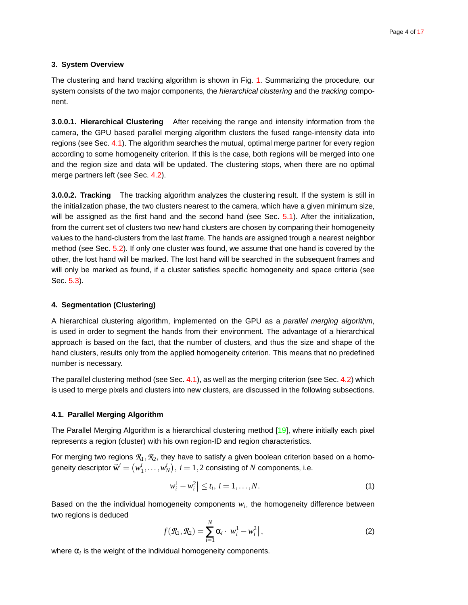#### <span id="page-3-4"></span><span id="page-3-0"></span>**3. System Overview**

The clustering and hand tracking algorithm is shown in Fig. [1.](#page-10-0) Summarizing the procedure, our system consists of the two major components, the hierarchical clustering and the tracking component.

**3.0.0.1. Hierarchical Clustering** After receiving the range and intensity information from the camera, the GPU based parallel merging algorithm clusters the fused range-intensity data into regions (see Sec. [4.1\)](#page-3-2). The algorithm searches the mutual, optimal merge partner for every region according to some homogeneity criterion. If this is the case, both regions will be merged into one and the region size and data will be updated. The clustering stops, when there are no optimal merge partners left (see Sec. [4.2\)](#page-4-0).

**3.0.0.2. Tracking** The tracking algorithm analyzes the clustering result. If the system is still in the initialization phase, the two clusters nearest to the camera, which have a given minimum size, will be assigned as the first hand and the second hand (see Sec. [5.1\)](#page-5-1). After the initialization, from the current set of clusters two new hand clusters are chosen by comparing their homogeneity values to the hand-clusters from the last frame. The hands are assigned trough a nearest neighbor method (see Sec. [5.2\)](#page-5-2). If only one cluster was found, we assume that one hand is covered by the other, the lost hand will be marked. The lost hand will be searched in the subsequent frames and will only be marked as found, if a cluster satisfies specific homogeneity and space criteria (see Sec. [5.3\)](#page-6-0).

#### <span id="page-3-1"></span>**4. Segmentation (Clustering)**

A hierarchical clustering algorithm, implemented on the GPU as a parallel merging algorithm, is used in order to segment the hands from their environment. The advantage of a hierarchical approach is based on the fact, that the number of clusters, and thus the size and shape of the hand clusters, results only from the applied homogeneity criterion. This means that no predefined number is necessary.

The parallel clustering method (see Sec. [4.1\)](#page-3-2), as well as the merging criterion (see Sec. [4.2\)](#page-4-0) which is used to merge pixels and clusters into new clusters, are discussed in the following subsections.

#### <span id="page-3-2"></span>**4.1. Parallel Merging Algorithm**

The Parallel Merging Algorithm is a hierarchical clustering method [\[19\]](#page-9-9), where initially each pixel represents a region (cluster) with his own region-ID and region characteristics.

For merging two regions  $\mathcal{R}_1, \mathcal{R}_2$ , they have to satisfy a given boolean criterion based on a homogeneity descriptor  $\vec{\mathbf{w}}^i = \left(w^i_1,\dots,w^i_N\right),\, i=1,2$  consisting of  $N$  components, i.e.

<span id="page-3-3"></span>
$$
\left|w_i^1 - w_i^2\right| \le t_i, \ i = 1, \dots, N. \tag{1}
$$

Based on the the individual homogeneity components *w<sup>i</sup>* , the homogeneity difference between two regions is deduced

$$
f(\mathcal{R}_1, \mathcal{R}_2) = \sum_{i=1}^N \alpha_i \cdot \left| w_i^1 - w_i^2 \right|,
$$
\n(2)

where  $\alpha_i$  is the weight of the individual homogeneity components.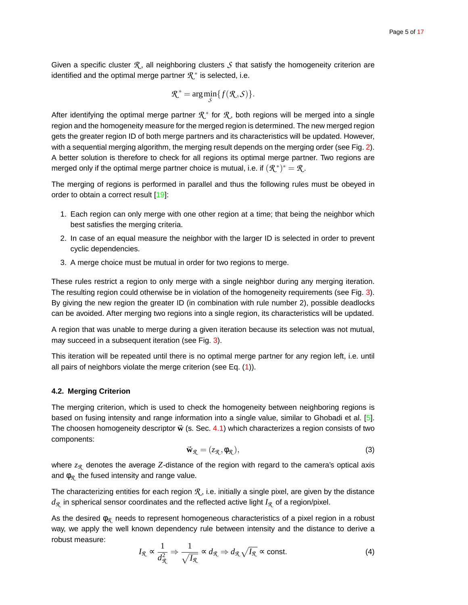<span id="page-4-1"></span>Given a specific cluster  $\mathcal{R}_1$ , all neighboring clusters  $\mathcal S$  that satisfy the homogeneity criterion are identified and the optimal merge partner  $\mathcal{R}^*$  is selected, i.e.

$$
\mathcal{R}^* = \arg\min_{\mathcal{S}} \{ f(\mathcal{R}, \mathcal{S}) \}.
$$

After identifying the optimal merge partner  $\mathcal{R}^*$  for  $\mathcal{R}$ , both regions will be merged into a single region and the homogeneity measure for the merged region is determined. The new merged region gets the greater region ID of both merge partners and its characteristics will be updated. However, with a sequential merging algorithm, the merging result depends on the merging order (see Fig. [2\)](#page-11-0). A better solution is therefore to check for all regions its optimal merge partner. Two regions are merged only if the optimal merge partner choice is mutual, i.e. if  $(\mathcal{R}^*)^* = \mathcal{R}$ .

The merging of regions is performed in parallel and thus the following rules must be obeyed in order to obtain a correct result [\[19\]](#page-9-9):

- 1. Each region can only merge with one other region at a time; that being the neighbor which best satisfies the merging criteria.
- 2. In case of an equal measure the neighbor with the larger ID is selected in order to prevent cyclic dependencies.
- 3. A merge choice must be mutual in order for two regions to merge.

These rules restrict a region to only merge with a single neighbor during any merging iteration. The resulting region could otherwise be in violation of the homogeneity requirements (see Fig. [3\)](#page-11-1). By giving the new region the greater ID (in combination with rule number 2), possible deadlocks can be avoided. After merging two regions into a single region, its characteristics will be updated.

A region that was unable to merge during a given iteration because its selection was not mutual, may succeed in a subsequent iteration (see Fig. [3\)](#page-11-1).

This iteration will be repeated until there is no optimal merge partner for any region left, i.e. until all pairs of neighbors violate the merge criterion (see Eq. [\(1\)](#page-3-3)).

# <span id="page-4-0"></span>**4.2. Merging Criterion**

The merging criterion, which is used to check the homogeneity between neighboring regions is based on fusing intensity and range information into a single value, similar to Ghobadi et al. [\[5\]](#page-8-10). The choosen homogeneity descriptor  $\vec{w}$  (s. Sec. [4.1\)](#page-3-2) which characterizes a region consists of two components:

$$
\vec{\mathbf{w}}_{\mathcal{R}} = (z_{\mathcal{R}}, \phi_{\mathcal{R}}),\tag{3}
$$

where  $z_{\Re}$  denotes the average Z-distance of the region with regard to the camera's optical axis and  $\phi_{\mathcal{R}}$  the fused intensity and range value.

The characterizing entities for each region  $R$ , i.e. initially a single pixel, are given by the distance *dR* in spherical sensor coordinates and the reflected active light *IR* of a region/pixel.

As the desired φ*R* needs to represent homogeneous characteristics of a pixel region in a robust way, we apply the well known dependency rule between intensity and the distance to derive a robust measure:

$$
I_{\mathcal{R}} \propto \frac{1}{d_{\mathcal{R}}^2} \Rightarrow \frac{1}{\sqrt{I_{\mathcal{R}}}} \propto d_{\mathcal{R}} \Rightarrow d_{\mathcal{R}} \sqrt{I_{\mathcal{R}}} \approx \text{const.}
$$
 (4)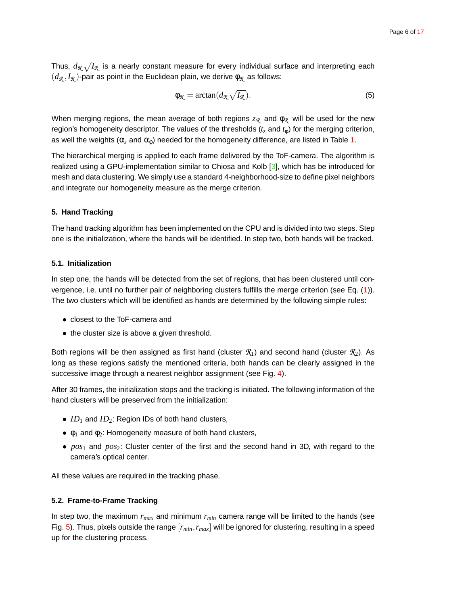<span id="page-5-4"></span>Thus,  $d_{\mathcal{R}}\sqrt{I_{\mathcal{R}}}$  is a nearly constant measure for every individual surface and interpreting each  $(d_{\mathcal{R}}, I_{\mathcal{R}})$ -pair as point in the Euclidean plain, we derive  $\phi_{\mathcal{R}}$  as follows:

<span id="page-5-3"></span>
$$
\phi_{\mathcal{R}} = \arctan(d_{\mathcal{R}} \sqrt{I_{\mathcal{R}}}).\tag{5}
$$

When merging regions, the mean average of both regions  $z_{\Re}$  and  $φ_{\Re}$  will be used for the new region's homogeneity descriptor. The values of the thresholds (*t<sup>z</sup>* and *t*φ) for the merging criterion, as well the weights ( $\alpha$ <sub>z</sub> and  $\alpha$ <sub>0</sub>) needed for the homogeneity difference, are listed in Table [1.](#page-7-1)

The hierarchical merging is applied to each frame delivered by the ToF-camera. The algorithm is realized using a GPU-implementation similar to Chiosa and Kolb [\[3\]](#page-8-6), which has be introduced for mesh and data clustering. We simply use a standard 4-neighborhood-size to define pixel neighbors and integrate our homogeneity measure as the merge criterion.

# <span id="page-5-0"></span>**5. Hand Tracking**

The hand tracking algorithm has been implemented on the CPU and is divided into two steps. Step one is the initialization, where the hands will be identified. In step two, both hands will be tracked.

# <span id="page-5-1"></span>**5.1. Initialization**

In step one, the hands will be detected from the set of regions, that has been clustered until con-vergence, i.e. until no further pair of neighboring clusters fulfills the merge criterion (see Eq. [\(1\)](#page-3-3)). The two clusters which will be identified as hands are determined by the following simple rules:

- closest to the ToF-camera and
- the cluster size is above a given threshold.

Both regions will be then assigned as first hand (cluster  $\mathcal{R}_1$ ) and second hand (cluster  $\mathcal{R}_2$ ). As long as these regions satisfy the mentioned criteria, both hands can be clearly assigned in the successive image through a nearest neighbor assignment (see Fig. [4\)](#page-12-0).

After 30 frames, the initialization stops and the tracking is initiated. The following information of the hand clusters will be preserved from the initialization:

- $ID_1$  and  $ID_2$ : Region IDs of both hand clusters,
- $\bullet$   $\phi_1$  and  $\phi_2$ : Homogeneity measure of both hand clusters,
- *pos*<sup>1</sup> and *pos*2: Cluster center of the first and the second hand in 3D, with regard to the camera's optical center.

<span id="page-5-2"></span>All these values are required in the tracking phase.

# **5.2. Frame-to-Frame Tracking**

In step two, the maximum *rmax* and minimum *rmin* camera range will be limited to the hands (see Fig. [5\)](#page-13-0). Thus, pixels outside the range [*rmin*,*rmax*] will be ignored for clustering, resulting in a speed up for the clustering process.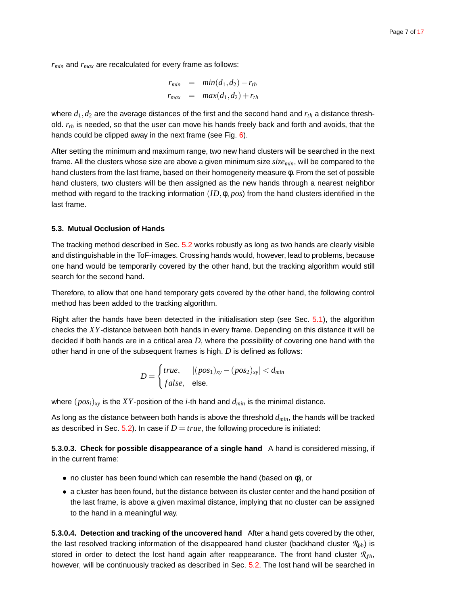*rmin* and *rmax* are recalculated for every frame as follows:

$$
r_{min} = min(d_1, d_2) - r_{th}
$$
  

$$
r_{max} = max(d_1, d_2) + r_{th}
$$

where  $d_1$ ,  $d_2$  are the average distances of the first and the second hand and  $r_{th}$  a distance threshold. *rth* is needed, so that the user can move his hands freely back and forth and avoids, that the hands could be clipped away in the next frame (see Fig. [6\)](#page-13-1).

After setting the minimum and maximum range, two new hand clusters will be searched in the next frame. All the clusters whose size are above a given minimum size *sizemin*, will be compared to the hand clusters from the last frame, based on their homogeneity measure φ. From the set of possible hand clusters, two clusters will be then assigned as the new hands through a nearest neighbor method with regard to the tracking information (*ID*,φ, *pos*) from the hand clusters identified in the last frame.

# <span id="page-6-0"></span>**5.3. Mutual Occlusion of Hands**

The tracking method described in Sec. [5.2](#page-5-2) works robustly as long as two hands are clearly visible and distinguishable in the ToF-images. Crossing hands would, however, lead to problems, because one hand would be temporarily covered by the other hand, but the tracking algorithm would still search for the second hand.

Therefore, to allow that one hand temporary gets covered by the other hand, the following control method has been added to the tracking algorithm.

Right after the hands have been detected in the initialisation step (see Sec. [5.1\)](#page-5-1), the algorithm checks the *XY*-distance between both hands in every frame. Depending on this distance it will be decided if both hands are in a critical area *D*, where the possibility of covering one hand with the other hand in one of the subsequent frames is high. *D* is defined as follows:

$$
D = \begin{cases} true, & |(pos_1)_{xy} - (pos_2)_{xy}| < d_{min} \\ false, & else. \end{cases}
$$

where (*posi*)*xy* is the *XY*-position of the *i*-th hand and *dmin* is the minimal distance.

As long as the distance between both hands is above the threshold *dmin*, the hands will be tracked as described in Sec.  $5.2$ ). In case if  $D = true$ , the following procedure is initiated:

**5.3.0.3. Check for possible disappearance of a single hand** A hand is considered missing, if in the current frame:

- no cluster has been found which can resemble the hand (based on  $\phi$ ), or
- a cluster has been found, but the distance between its cluster center and the hand position of the last frame, is above a given maximal distance, implying that no cluster can be assigned to the hand in a meaningful way.

**5.3.0.4. Detection and tracking of the uncovered hand** After a hand gets covered by the other, the last resolved tracking information of the disappeared hand cluster (backhand cluster *Rbh*) is stored in order to detect the lost hand again after reappearance. The front hand cluster  $\mathcal{R}_{fh}$ , however, will be continuously tracked as described in Sec. [5.2.](#page-5-2) The lost hand will be searched in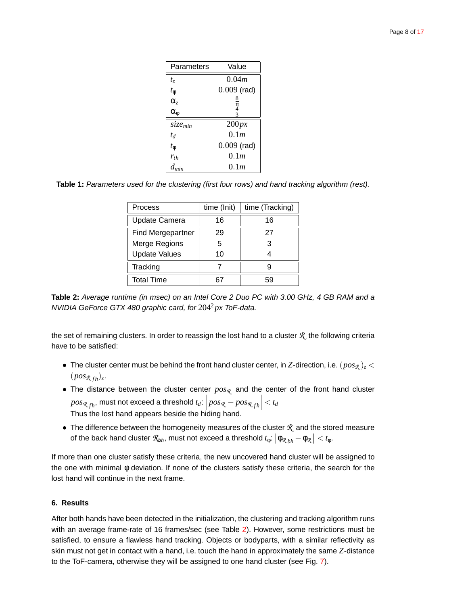| Parameters          | Value            |
|---------------------|------------------|
| $t_z$               | 0.04m            |
| $t_{\phi}$          | $0.009$ (rad)    |
| $\alpha_z$          | 8                |
| $\alpha_{\phi}$     | $\frac{\pi}{3}$  |
| size <sub>min</sub> | 200px            |
| $t_d$               | 0.1 <sub>m</sub> |
| $t_{\rm \Phi}$      | $0.009$ (rad)    |
| $r_{th}$            | 0.1 <sub>m</sub> |
| $d_{min}$           | 0.1m             |

<span id="page-7-1"></span>**Table 1:** Parameters used for the clustering (first four rows) and hand tracking algorithm (rest).

| <b>Process</b>           | time (Init) | time (Tracking) |
|--------------------------|-------------|-----------------|
| <b>Update Camera</b>     | 16          | 16              |
| <b>Find Mergepartner</b> | 29          | 27              |
| Merge Regions            | 5           | 3               |
| <b>Update Values</b>     | 10          |                 |
| Tracking                 |             |                 |
| <b>Total Time</b>        |             | 59              |

<span id="page-7-2"></span>**Table 2:** Average runtime (in msec) on an Intel Core 2 Duo PC with 3.00 GHz, 4 GB RAM and a NVIDIA GeForce GTX 480 graphic card, for 204<sup>2</sup> *px* ToF-data.

the set of remaining clusters. In order to reassign the lost hand to a cluster *R* the following criteria have to be satisfied:

- The cluster center must be behind the front hand cluster center, in Z-direction, i.e.  $(pos_R)_z$  $(pos_{\mathcal{R}_{fh}})_z$ .
- The distance between the cluster center *posR* and the center of the front hand cluster  $pos_{\mathcal{R},fh}$ , must not exceed a threshold  $t_d$ :  $\left|pos_{\mathcal{R}} - pos_{\mathcal{R},fh} \right| < t_d$ Thus the lost hand appears beside the hiding hand.
- The difference between the homogeneity measures of the cluster *R* and the stored measure of the back hand cluster  $\mathcal{R}_{bh}$ , must not exceed a threshold  $t_\phi$ :  $\left|\phi_{\mathcal{R}_{bh}}-\phi_{\mathcal{R}}\right|< t_\phi$ .

If more than one cluster satisfy these criteria, the new uncovered hand cluster will be assigned to the one with minimal φ deviation. If none of the clusters satisfy these criteria, the search for the lost hand will continue in the next frame.

# <span id="page-7-0"></span>**6. Results**

After both hands have been detected in the initialization, the clustering and tracking algorithm runs with an average frame-rate of 16 frames/sec (see Table [2\)](#page-7-2). However, some restrictions must be satisfied, to ensure a flawless hand tracking. Objects or bodyparts, with a similar reflectivity as skin must not get in contact with a hand, i.e. touch the hand in approximately the same *Z*-distance to the ToF-camera, otherwise they will be assigned to one hand cluster (see Fig. [7\)](#page-14-0).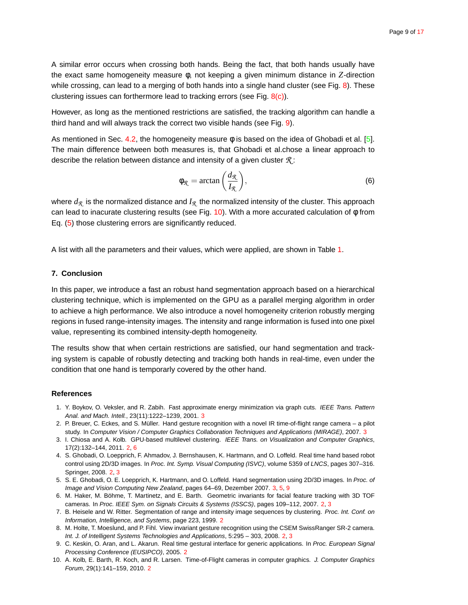<span id="page-8-11"></span>A similar error occurs when crossing both hands. Being the fact, that both hands usually have the exact same homogeneity measure φ, not keeping a given minimum distance in *Z*-direction while crossing, can lead to a merging of both hands into a single hand cluster (see Fig. [8\)](#page-14-1). These clustering issues can forthermore lead to tracking errors (see Fig. [8\(c\)\)](#page-14-2).

However, as long as the mentioned restrictions are satisfied, the tracking algorithm can handle a third hand and will always track the correct two visible hands (see Fig. [9\)](#page-15-0).

As mentioned in Sec. [4.2,](#page-4-0) the homogeneity measure  $\phi$  is based on the idea of Ghobadi et al. [\[5\]](#page-8-10). The main difference between both measures is, that Ghobadi et al.chose a linear approach to describe the relation between distance and intensity of a given cluster *R* :

<span id="page-8-12"></span>
$$
\phi_{\mathcal{R}} = \arctan\left(\frac{d_{\mathcal{R}}}{I_{\mathcal{R}}}\right),\tag{6}
$$

where *dR* is the normalized distance and *IR* the normalized intensity of the cluster. This approach can lead to inacurate clustering results (see Fig. [10\)](#page-16-1). With a more accurated calculation of  $\phi$  from Eq. [\(5\)](#page-5-3) those clustering errors are significantly reduced.

<span id="page-8-7"></span>A list with all the parameters and their values, which were applied, are shown in Table [1.](#page-7-1)

# **7. Conclusion**

In this paper, we introduce a fast an robust hand segmentation approach based on a hierarchical clustering technique, which is implemented on the GPU as a parallel merging algorithm in order to achieve a high performance. We also introduce a novel homogeneity criterion robustly merging regions in fused range-intensity images. The intensity and range information is fused into one pixel value, representing its combined intensity-depth homogeneity.

The results show that when certain restrictions are satisfied, our hand segmentation and tracking system is capable of robustly detecting and tracking both hands in real-time, even under the condition that one hand is temporarly covered by the other hand.

#### <span id="page-8-9"></span><span id="page-8-8"></span>**References**

- 1. Y. Boykov, O. Veksler, and R. Zabih. Fast approximate energy minimization via graph cuts. IEEE Trans. Pattern Anal. and Mach. Intell., 2[3](#page-2-2)(11):1222-1239, 2001. 3
- 2. P. Breuer, C. Eckes, and S. Müller. Hand gesture recognition with a novel IR time-of-flight range camera a pilot study. In Computer Vision / Computer Graphics Collaboration Techniques and Applications (MIRAGE), 2007. [3](#page-2-2)
- <span id="page-8-6"></span>3. I. Chiosa and A. Kolb. GPU-based multilevel clustering. IEEE Trans. on Visualization and Computer Graphics, 17(2):132–144, 2011. [2,](#page-1-0) [6](#page-5-4)
- <span id="page-8-5"></span>4. S. Ghobadi, O. Loepprich, F. Ahmadov, J. Bernshausen, K. Hartmann, and O. Loffeld. Real time hand based robot control using 2D/3D images. In Proc. Int. Symp. Visual Computing (ISVC), volume 5359 of LNCS, pages 307–316. Springer, 2008. [2,](#page-1-0) [3](#page-2-2)
- <span id="page-8-10"></span>5. S. E. Ghobadi, O. E. Loepprich, K. Hartmann, and O. Loffeld. Hand segmentation using 2D/3D images. In Proc. of Image and Vision Computing New Zealand, pages 64–69, Dezember 2007. [3,](#page-2-2) [5,](#page-4-1) [9](#page-8-11)
- <span id="page-8-3"></span>6. M. Haker, M. Böhme, T. Martinetz, and E. Barth. Geometric invariants for facial feature tracking with 3D TOF cameras. In Proc. IEEE Sym. on Signals Circuits & Systems (ISSCS), pages 109–112, 2007. [2,](#page-1-0) [3](#page-2-2)
- <span id="page-8-1"></span>7. B. Heisele and W. Ritter. Segmentation of range and intensity image sequences by clustering. Proc. Int. Conf. on Information, Intelligence, and Systems, page 223, 1999. [2](#page-1-0)
- <span id="page-8-4"></span>8. M. Holte, T. Moeslund, and P. Fihl. View invariant gesture recognition using the CSEM SwissRanger SR-2 camera. Int. J. of Intelligent Systems Technologies and Applications, 5:295 – 303, 2008. [2,](#page-1-0) [3](#page-2-2)
- <span id="page-8-0"></span>9. C. Keskin, O. Aran, and L. Akarun. Real time gestural interface for generic applications. In Proc. European Signal Processing Conference (EUSIPCO), 2005. [2](#page-1-0)
- <span id="page-8-2"></span>10. A. Kolb, E. Barth, R. Koch, and R. Larsen. Time-of-Flight cameras in computer graphics. J. Computer Graphics Forum, 29(1):141–159, 2010. [2](#page-1-0)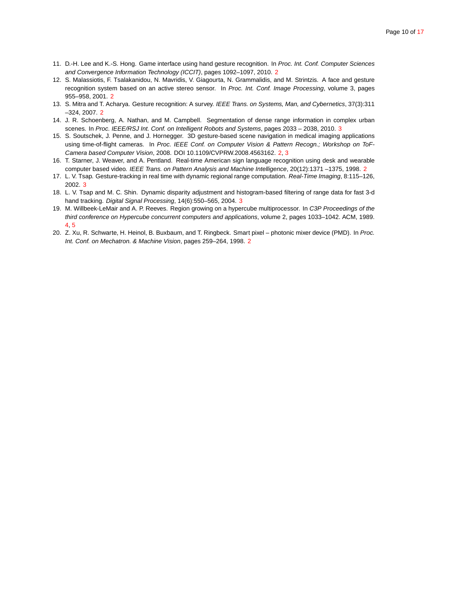- <span id="page-9-3"></span><span id="page-9-2"></span>11. D.-H. Lee and K.-S. Hong. Game interface using hand gesture recognition. In Proc. Int. Conf. Computer Sciences and Convergence Information Technology (ICCIT), pages 1092–1097, 2010. [2](#page-1-0)
- 12. S. Malassiotis, F. Tsalakanidou, N. Mavridis, V. Giagourta, N. Grammalidis, and M. Strintzis. A face and gesture recognition system based on an active stereo sensor. In Proc. Int. Conf. Image Processing, volume 3, pages 955–958, 2001. [2](#page-1-0)
- <span id="page-9-6"></span><span id="page-9-0"></span>13. S. Mitra and T. Acharya. Gesture recognition: A survey. IEEE Trans. on Systems, Man, and Cybernetics, 37(3):311 –324, 2007. [2](#page-1-0)
- <span id="page-9-5"></span>14. J. R. Schoenberg, A. Nathan, and M. Campbell. Segmentation of dense range information in complex urban scenes. In Proc. IEEE/RSJ Int. Conf. on Intelligent Robots and Systems, pages 20[3](#page-2-2)3 - 2038, 2010. 3
- 15. S. Soutschek, J. Penne, and J. Hornegger. 3D gesture-based scene navigation in medical imaging applications using time-of-flight cameras. In Proc. IEEE Conf. on Computer Vision & Pattern Recogn.; Workshop on ToF-Camera based Computer Vision, 2008. DOI 10.1109/CVPRW.2008.4563162. [2,](#page-1-0) [3](#page-2-2)
- <span id="page-9-7"></span><span id="page-9-1"></span>16. T. Starner, J. Weaver, and A. Pentland. Real-time American sign language recognition using desk and wearable computer based video. IEEE Trans. on Pattern Analysis and Machine Intelligence, [2](#page-1-0)0(12):1371 -1375, 1998. 2
- <span id="page-9-8"></span>17. L. V. Tsap. Gesture-tracking in real time with dynamic regional range computation. Real-Time Imaging, 8:115–126, 2002. [3](#page-2-2)
- <span id="page-9-9"></span>18. L. V. Tsap and M. C. Shin. Dynamic disparity adjustment and histogram-based filtering of range data for fast 3-d hand tracking. Digital Signal Processing, 14(6):550-565, 2004. [3](#page-2-2)
- 19. M. Willbeek-LeMair and A. P. Reeves. Region growing on a hypercube multiprocessor. In C3P Proceedings of the third conference on Hypercube concurrent computers and applications, volume 2, pages 1033–1042. ACM, 1989. [4,](#page-3-4) [5](#page-4-1)
- <span id="page-9-4"></span>20. Z. Xu, R. Schwarte, H. Heinol, B. Buxbaum, and T. Ringbeck. Smart pixel – photonic mixer device (PMD). In Proc. Int. Conf. on Mechatron. & Machine Vision, pages 259–264, 1998. [2](#page-1-0)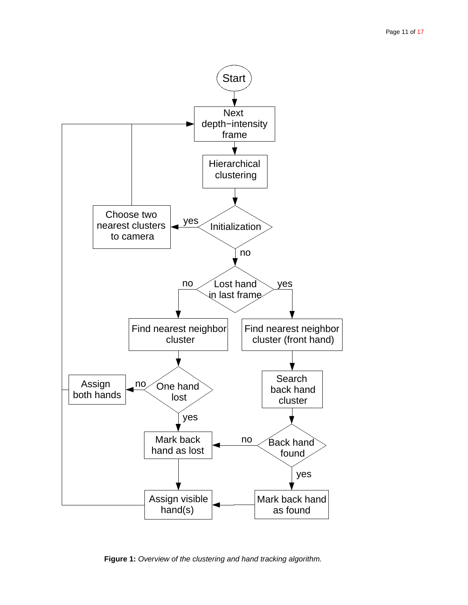

<span id="page-10-0"></span>**Figure 1:** Overview of the clustering and hand tracking algorithm.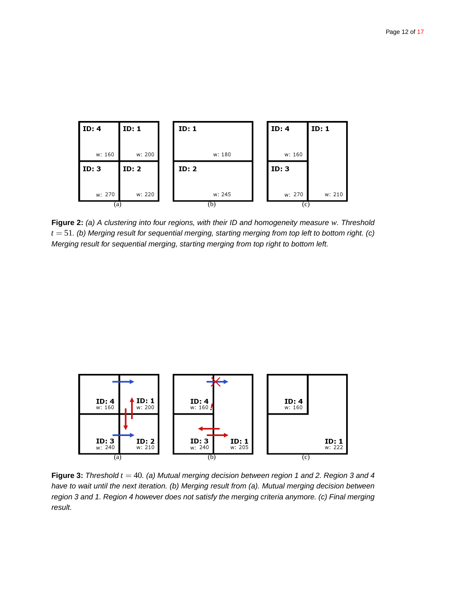

<span id="page-11-0"></span>**Figure 2:** (a) A clustering into four regions, with their ID and homogeneity measure *w*. Threshold  $t = 51$ . (b) Merging result for sequential merging, starting merging from top left to bottom right. (c) Merging result for sequential merging, starting merging from top right to bottom left.



<span id="page-11-1"></span>**Figure 3:** Threshold  $t = 40$ . (a) Mutual merging decision between region 1 and 2. Region 3 and 4 have to wait until the next iteration. (b) Merging result from (a). Mutual merging decision between region 3 and 1. Region 4 however does not satisfy the merging criteria anymore. (c) Final merging result.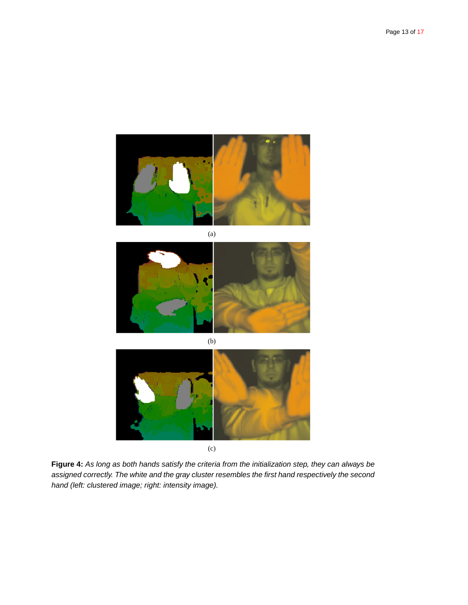

(a)



(b)



(c)

<span id="page-12-0"></span>**Figure 4:** As long as both hands satisfy the criteria from the initialization step, they can always be assigned correctly. The white and the gray cluster resembles the first hand respectively the second hand (left: clustered image; right: intensity image).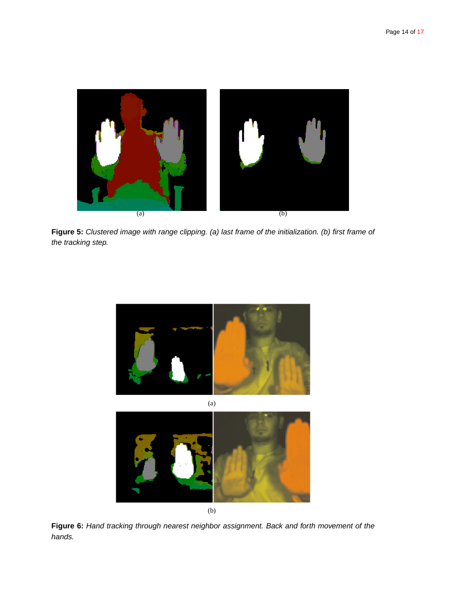

Figure 5: Clustered image with range clipping. (a) last frame of the initialization. (b) first frame of the tracking step.

<span id="page-13-1"></span><span id="page-13-0"></span>

**Figure 6:** Hand tracking through nearest neighbor assignment. Back and forth movement of the hands.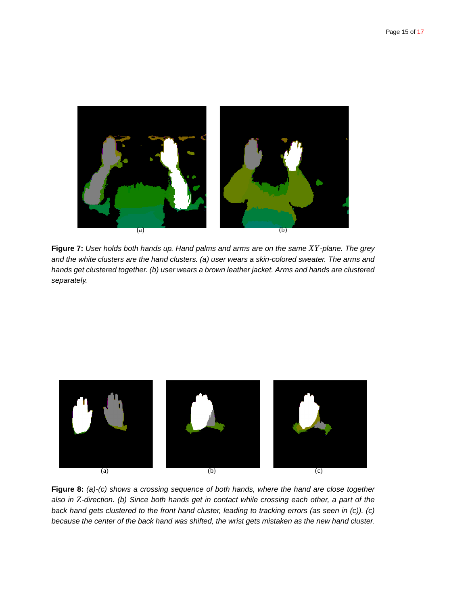

**Figure 7:** User holds both hands up. Hand palms and arms are on the same *XY*-plane. The grey and the white clusters are the hand clusters. (a) user wears a skin-colored sweater. The arms and hands get clustered together. (b) user wears a brown leather jacket. Arms and hands are clustered separately.

<span id="page-14-0"></span>

<span id="page-14-2"></span><span id="page-14-1"></span>**Figure 8:** (a)-(c) shows a crossing sequence of both hands, where the hand are close together also in *Z*-direction. (b) Since both hands get in contact while crossing each other, a part of the back hand gets clustered to the front hand cluster, leading to tracking errors (as seen in (c)). (c) because the center of the back hand was shifted, the wrist gets mistaken as the new hand cluster.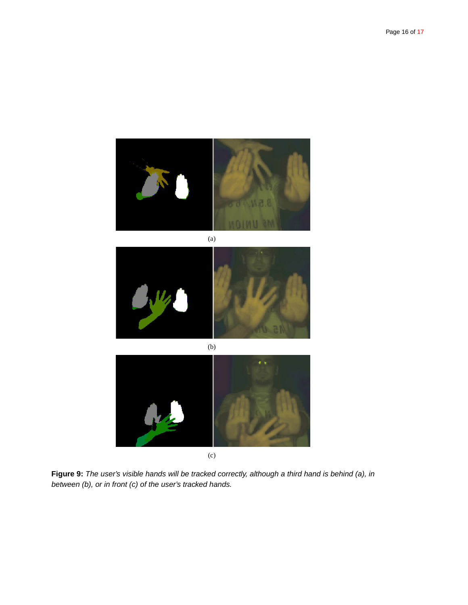





(c)

<span id="page-15-0"></span>**Figure 9:** The user's visible hands will be tracked correctly, although a third hand is behind (a), in between (b), or in front (c) of the user's tracked hands.